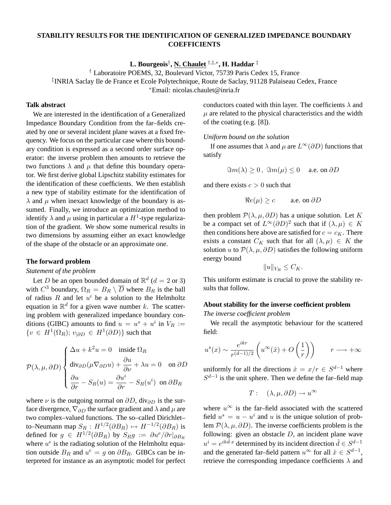# **STABILITY RESULTS FOR THE IDENTIFICATION OF GENERALIZED IMPEDANCE BOUNDARY COEFFICIENTS**

**L. Bourgeois**† **, N. Chaulet** †,‡,<sup>∗</sup> **, H. Haddar** ‡

† Laboratoire POEMS, 32, Boulevard Victor, 75739 Paris Cedex 15, France

‡ INRIA Saclay Ile de France et Ecole Polytechnique, Route de Saclay, 91128 Palaiseau Cedex, France

<sup>∗</sup>Email: nicolas.chaulet@inria.fr

# **Talk abstract**

We are interested in the identification of a Generalized Impedance Boundary Condition from the far–fields created by one or several incident plane waves at a fixed frequency. We focus on the particular case where this boundary condition is expressed as a second order surface operator: the inverse problem then amounts to retrieve the two functions  $\lambda$  and  $\mu$  that define this boundary operator. We first derive global Lipschitz stability estimates for the identification of these coefficients. We then establish a new type of stability estimate for the identification of  $\lambda$  and  $\mu$  when inexact knowledge of the boundary is assumed. Finally, we introduce an optimization method to identify  $\lambda$  and  $\mu$  using in particular a  $H^1$ -type regularization of the gradient. We show some numerical results in two dimensions by assuming either an exact knowledge of the shape of the obstacle or an approximate one.

#### **The forward problem**

### *Statement of the problem*

Let D be an open bounded domain of  $\mathbb{R}^d$  ( $d = 2$  or 3) with  $C^3$  boundary,  $\Omega_R = B_R \setminus \overline{D}$  where  $B_R$  is the ball of radius R and let  $u^i$  be a solution to the Helmholtz equation in  $\mathbb{R}^d$  for a given wave number k. The scattering problem with generalized impedance boundary conditions (GIBC) amounts to find  $u = u^s + u^i$  in  $V_R :=$  $\{v \in H^1(\Omega_R); v_{\vert \partial D} \in H^1(\partial D)\}\$  such that

$$
\mathcal{P}(\lambda, \mu, \partial D) \begin{cases} \Delta u + k^2 u = 0 & \text{inside } \Omega_R \\ \text{div}_{\partial D}(\mu \nabla_{\partial D} u) + \frac{\partial u}{\partial \nu} + \lambda u = 0 & \text{on } \partial D \\ \frac{\partial u}{\partial r} - S_R(u) = \frac{\partial u^i}{\partial r} - S_R(u^i) & \text{on } \partial B_R \end{cases}
$$

where  $\nu$  is the outgoing normal on  $\partial D$ , div $_{\partial D}$  is the surface divergence,  $\nabla_{\partial D}$  the surface gradient and  $\lambda$  and  $\mu$  are two complex–valued functions. The so–called Dirichlet– to–Neumann map  $S_R: H^{1/2}(\partial B_R) \mapsto H^{-1/2}(\partial B_R)$  is defined for  $g \in H^{1/2}(\partial B_R)$  by  $S_R g := \partial u^e / \partial r |_{\partial B_R}$ where  $u^e$  is the radiating solution of the Helmholtz equation outside  $B_R$  and  $u^e = g$  on  $\partial B_R$ . GIBCs can be interpreted for instance as an asymptotic model for perfect conductors coated with thin layer. The coefficients  $\lambda$  and  $\mu$  are related to the physical characteristics and the width of the coating (e.g. [8]).

*Uniform bound on the solution*

If one assumes that  $\lambda$  and  $\mu$  are  $L^{\infty}(\partial D)$  functions that satisfy

 $\Im m(\lambda) > 0$ ,  $\Im m(\mu) < 0$  a.e. on  $\partial D$ 

and there exists  $c > 0$  such that

$$
\Re e(\mu) \ge c \qquad \text{a.e. on } \partial D
$$

then problem  $\mathcal{P}(\lambda, \mu, \partial D)$  has a unique solution. Let K be a compact set of  $L^{\infty}(\partial D)^2$  such that if  $(\lambda,\mu) \in K$ then conditions here above are satisfied for  $c = c_K$ . There exists a constant  $C_K$  such that for all  $(\lambda, \mu) \in K$  the solution u to  $\mathcal{P}(\lambda, \mu, \partial D)$  satisfies the following uniform energy bound

$$
||u||_{V_R} \leq C_K.
$$

This uniform estimate is crucial to prove the stability results that follow.

### **About stability for the inverse coefficient problem**

*The inverse coefficient problem*

We recall the asymptotic behaviour for the scattered field:

$$
u^{s}(x) \sim \frac{e^{ikr}}{r^{(d-1)/2}} \left( u^{\infty}(\hat{x}) + O\left(\frac{1}{r}\right) \right) \qquad r \longrightarrow +\infty
$$

uniformly for all the directions  $\hat{x} = x/r \in S^{d-1}$  where  $S^{d-1}$  is the unit sphere. Then we define the far–field map

$$
T: (\lambda, \mu, \partial D) \to u^{\infty}
$$

where  $u^{\infty}$  is the far–field associated with the scattered field  $u^s = u - u^i$  and u is the unique solution of problem  $\mathcal{P}(\lambda, \mu, \partial D)$ . The inverse coefficients problem is the following: given an obstacle  $D$ , an incident plane wave  $u^i = e^{ik\hat{d}\cdot x}$  determined by its incident direction  $\hat{d} \in S^{d-1}$ and the generated far–field pattern  $u^{\infty}$  for all  $\hat{x} \in S^{d-1}$ , retrieve the corresponding impedance coefficients  $\lambda$  and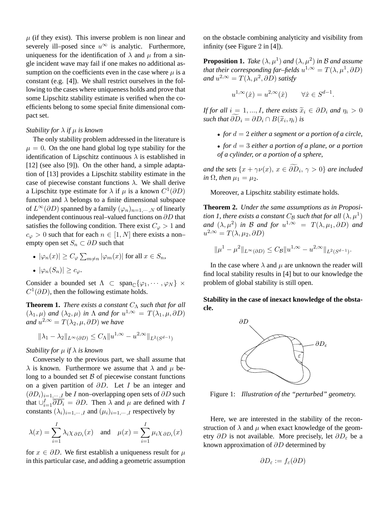$\mu$  (if they exist). This inverse problem is non linear and severely ill–posed since  $u^{\infty}$  is analytic. Furthermore, uniqueness for the identification of  $\lambda$  and  $\mu$  from a single incident wave may fail if one makes no additional assumption on the coefficients even in the case where  $\mu$  is a constant (e.g. [4]). We shall restrict ourselves in the following to the cases where uniqueness holds and prove that some Lipschitz stability estimate is verified when the coefficients belong to some special finite dimensional compact set.

### *Stability for* λ *if* µ *is known*

The only stability problem addressed in the literature is  $\mu = 0$ . On the one hand global log type stability for the identification of Lipschitz continuous  $\lambda$  is established in [12] (see also [9]). On the other hand, a simple adaptation of [13] provides a Lipschitz stability estimate in the case of piecewise constant functions  $\lambda$ . We shall derive a Lipschitz type estimate for  $\lambda$  if  $\mu$  is a known  $C^1(\partial D)$ function and  $\lambda$  belongs to a finite dimensional subspace of  $L^{\infty}(\partial D)$  spanned by a family  $(\varphi_n)_{n=1,\dots,N}$  of linearly independent continuous real–valued functions on ∂D that satisfies the following condition. There exist  $C_{\varphi} > 1$  and  $c_{\varphi} > 0$  such that for each  $n \in [1, N]$  there exists a nonempty open set  $S_n \subset \partial D$  such that

• 
$$
|\varphi_n(x)| \ge C_\varphi \sum_{m \ne n} |\varphi_m(x)|
$$
 for all  $x \in S_n$ ,

$$
\bullet \, |\varphi_n(S_n)| \geq c_{\varphi}.
$$

Consider a bounded set  $\Lambda \subset \text{span}_{\mathbb{C}}\{\varphi_1, \cdots, \varphi_N\} \times$  $C^1(\partial D)$ , then the following estimate holds.

**Theorem 1.** *There exists a constant*  $C_\Lambda$  *such that for all*  $(\lambda_1, \mu)$  *and*  $(\lambda_2, \mu)$  *in*  $\Lambda$  *and for*  $u^{1,\infty} = T(\lambda_1, \mu, \partial D)$ and  $u^{2,\infty} = T(\lambda_2, \mu, \partial D)$  we have

$$
\|\lambda_1 - \lambda_2\|_{L^\infty(\partial D)} \le C_\Lambda \|u^{1,\infty} - u^{2,\infty}\|_{L^2(S^{d-1})}
$$

### *Stability for* µ *if* λ *is known*

Conversely to the previous part, we shall assume that  $\lambda$  is known. Furthermore we assume that  $\lambda$  and  $\mu$  belong to a bounded set  $\beta$  of piecewise constant functions on a given partition of  $\partial D$ . Let I be an integer and  $(\partial D_i)_{i=1,\dots,I}$  be *I* non–overlapping open sets of  $\partial D$  such that  $\bigcup_{i=1}^{I} \overline{\partial D_i} = \partial D$ . Then  $\lambda$  and  $\mu$  are defined with I constants  $(\lambda_i)_{i=1,\dots,I}$  and  $(\mu_i)_{i=1,\dots,I}$  respectively by

$$
\lambda(x) = \sum_{i=1}^{I} \lambda_i \chi_{\partial D_i}(x)
$$
 and  $\mu(x) = \sum_{i=1}^{I} \mu_i \chi_{\partial D_i}(x)$ 

for  $x \in \partial D$ . We first establish a uniqueness result for  $\mu$ in this particular case, and adding a geometric assumption on the obstacle combining analyticity and visibility from infinity (see Figure 2 in [4]).

**Proposition 1.** Take  $(\lambda, \mu^1)$  and  $(\lambda, \mu^2)$  in B and assume that their corresponding far–fields  $u^{1,\infty}=T(\lambda,\mu^1,\partial D)$ and  $u^{2,\infty}=T(\lambda,\mu^{2},\partial D)$  satisfy

$$
u^{1,\infty}(\hat x)=u^{2,\infty}(\hat x)\qquad \forall \hat x\in S^{d-1}.
$$

*If for all*  $i = 1, ..., I$ *, there exists*  $\tilde{x}_i \in \partial D_i$  *and*  $\eta_i > 0$ *such that*  $\partial D_i = \partial D_i \cap B(\tilde{x}_i, \eta_i)$  *is* 

- *for* d = 2 *either a segment or a portion of a circle,*
- *for* d = 3 *either a portion of a plane, or a portion of a cylinder, or a portion of a sphere,*

*and the sets*  $\{x + \gamma \nu(x), x \in \partial D_i, \gamma > 0\}$  *are included in*  $\Omega$ *, then*  $\mu_1 = \mu_2$ *.* 

Moreover, a Lipschitz stability estimate holds.

**Theorem 2.** *Under the same assumptions as in Proposi*tion 1, there exists a constant  $C_{\mathcal{B}}$  such that for all  $(\lambda,\mu^1)$ and  $(\lambda, \mu^2)$  *in* B and for  $u^{1,\infty} = T(\lambda, \mu_1, \partial D)$  and  $u^{2,\infty} = T(\lambda, \mu_2, \partial D)$ 

$$
\|\mu^1 - \mu^2\|_{L^{\infty}(\partial D)} \le C_{\mathcal{B}} \|u^{1,\infty} - u^{2,\infty}\|_{L^2(S^{d-1})}.
$$

In the case where  $\lambda$  and  $\mu$  are unknown the reader will find local stability results in [4] but to our knowledge the problem of global stability is still open.

# **Stability in the case of inexact knowledge of the obstacle.**



Figure 1: *Illustration of the "perturbed" geometry.*

Here, we are interested in the stability of the reconstruction of  $\lambda$  and  $\mu$  when exact knowledge of the geometry  $\partial D$  is not available. More precisely, let  $\partial D_{\varepsilon}$  be a known approximation of ∂D determined by

$$
\partial D_{\varepsilon} := f_{\varepsilon}(\partial D)
$$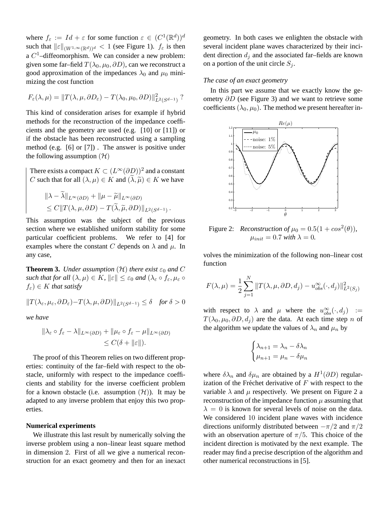where  $f_{\varepsilon} := Id + \varepsilon$  for some function  $\varepsilon \in (C^1(\mathbb{R}^d))^d$ such that  $\|\varepsilon\|_{(W^{1,\infty}(\mathbb{R}^d))^d} < 1$  (see Figure 1).  $f_{\varepsilon}$  is then a  $C<sup>1</sup>$ -diffeomorphism. We can consider a new problem: given some far–field  $T(\lambda_0, \mu_0, \partial D)$ , can we reconstruct a good approximation of the impedances  $\lambda_0$  and  $\mu_0$  minimizing the cost function

$$
F_{\varepsilon}(\lambda,\mu) = ||T(\lambda,\mu,\partial D_{\varepsilon}) - T(\lambda_0,\mu_0,\partial D)||_{L^2(S^{d-1})}^2.
$$

This kind of consideration arises for example if hybrid methods for the reconstruction of the impedance coefficients and the geometry are used (e.g. [10] or [11]) or if the obstacle has been reconstructed using a sampling method (e.g. [6] or [7]) . The answer is positive under the following assumption  $(\mathcal{H})$ 

There exists a compact  $K \subset (L^{\infty}(\partial D))^2$  and a constant  $C$  such that for all  $(\lambda,\mu)\in K$  and  $(\widetilde{\lambda},\widetilde{\mu})\in K$  we have

$$
\|\lambda - \lambda\|_{L^{\infty}(\partial D)} + \|\mu - \widetilde{\mu}\|_{L^{\infty}(\partial D)}
$$
  
\n
$$
\leq C \|T(\lambda, \mu, \partial D) - T(\widetilde{\lambda}, \widetilde{\mu}, \partial D)\|_{L^{2}(S^{d-1})}.
$$

This assumption was the subject of the previous section where we established uniform stability for some particular coefficient problems. We refer to [4] for examples where the constant C depends on  $\lambda$  and  $\mu$ . In any case,

**Theorem 3.** *Under assumption*  $(H)$  *there exist*  $\varepsilon_0$  *and* C *such that for all*  $(\lambda, \mu) \in K$ ,  $\|\varepsilon\| \leq \varepsilon_0$  *and*  $(\lambda_{\varepsilon} \circ f_{\varepsilon}, \mu_{\varepsilon} \circ f_{\varepsilon})$  $f_{\varepsilon}$ )  $\in$  K *that satisfy* 

$$
||T(\lambda_{\varepsilon}, \mu_{\varepsilon}, \partial D_{\varepsilon}) - T(\lambda, \mu, \partial D)||_{L^2(S^{d-1})} \le \delta \quad \text{for } \delta > 0
$$

*we have*

$$
\|\lambda_{\varepsilon} \circ f_{\varepsilon} - \lambda\|_{L^{\infty}(\partial D)} + \|\mu_{\varepsilon} \circ f_{\varepsilon} - \mu\|_{L^{\infty}(\partial D)}
$$
  

$$
\leq C(\delta + \|\varepsilon\|).
$$

The proof of this Theorem relies on two different properties: continuity of the far–field with respect to the obstacle, uniformly with respect to the impedance coefficients and stability for the inverse coefficient problem for a known obstacle (i.e. assumption  $(\mathcal{H})$ ). It may be adapted to any inverse problem that enjoy this two properties.

### **Numerical experiments**

We illustrate this last result by numerically solving the inverse problem using a non–linear least square method in dimension 2. First of all we give a numerical reconstruction for an exact geometry and then for an inexact geometry. In both cases we enlighten the obstacle with several incident plane waves characterized by their incident direction  $d_i$  and the associated far–fields are known on a portion of the unit circle  $S_i$ .

#### *The case of an exact geometry*

In this part we assume that we exactly know the geometry  $\partial D$  (see Figure 3) and we want to retrieve some coefficients  $(\lambda_0, \mu_0)$ . The method we present hereafter in-



Figure 2: *Reconstruction of*  $\mu_0 = 0.5(1 + cos^2(\theta)),$  $\mu_{init} = 0.7$  *with*  $\lambda = 0$ .

volves the minimization of the following non–linear cost function

$$
F(\lambda, \mu) = \frac{1}{2} \sum_{j=1}^{N} ||T(\lambda, \mu, \partial D, d_j) - u_{obs}^{\infty}(\cdot, d_j)||_{L^2(S_j)}^2
$$

with respect to  $\lambda$  and  $\mu$  where the  $u_{obs}^{\infty}(\cdot, d_j)$  :=  $T(\lambda_0, \mu_0, \partial D, d_i)$  are the data. At each time step n of the algorithm we update the values of  $\lambda_n$  and  $\mu_n$  by

$$
\begin{cases} \lambda_{n+1} = \lambda_n - \delta \lambda_n \\ \mu_{n+1} = \mu_n - \delta \mu_n \end{cases}
$$

where  $\delta \lambda_n$  and  $\delta \mu_n$  are obtained by a  $H^1(\partial D)$  regularization of the Fréchet derivative of  $F$  with respect to the variable  $\lambda$  and  $\mu$  respectively. We present on Figure 2 a reconstruction of the impedance function  $\mu$  assuming that  $\lambda = 0$  is known for several levels of noise on the data. We considered 10 incident plane waves with incidence directions uniformly distributed between  $-\pi/2$  and  $\pi/2$ with an observation aperture of  $\pi/5$ . This choice of the incident direction is motivated by the next example. The reader may find a precise description of the algorithm and other numerical reconstructions in [5].